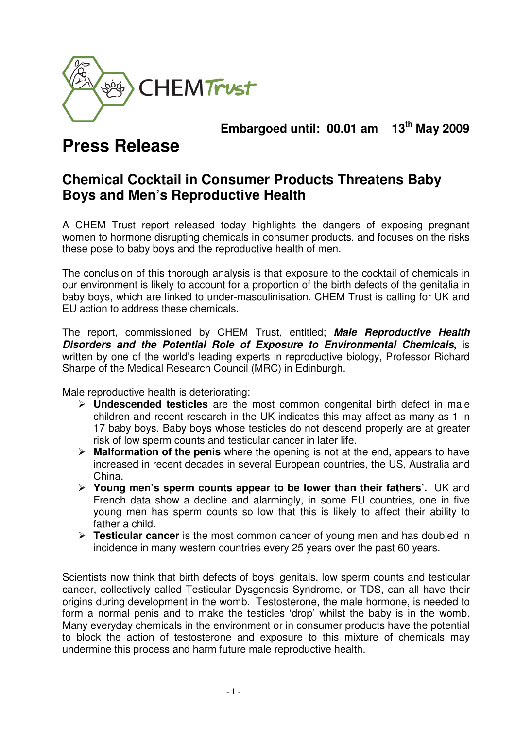

**Embargoed until: 00.01 am 13th May 2009** 

# **Press Release**

## **Chemical Cocktail in Consumer Products Threatens Baby Boys and Men's Reproductive Health**

A CHEM Trust report released today highlights the dangers of exposing pregnant women to hormone disrupting chemicals in consumer products, and focuses on the risks these pose to baby boys and the reproductive health of men.

The conclusion of this thorough analysis is that exposure to the cocktail of chemicals in our environment is likely to account for a proportion of the birth defects of the genitalia in baby boys, which are linked to under-masculinisation. CHEM Trust is calling for UK and EU action to address these chemicals.

The report, commissioned by CHEM Trust, entitled; **Male Reproductive Health Disorders and the Potential Role of Exposure to Environmental Chemicals,** is written by one of the world's leading experts in reproductive biology, Professor Richard Sharpe of the Medical Research Council (MRC) in Edinburgh.

Male reproductive health is deteriorating:

- **Undescended testicles** are the most common congenital birth defect in male children and recent research in the UK indicates this may affect as many as 1 in 17 baby boys. Baby boys whose testicles do not descend properly are at greater risk of low sperm counts and testicular cancer in later life.
- **Malformation of the penis** where the opening is not at the end, appears to have increased in recent decades in several European countries, the US, Australia and China.
- **Young men's sperm counts appear to be lower than their fathers'.** UK and French data show a decline and alarmingly, in some EU countries, one in five young men has sperm counts so low that this is likely to affect their ability to father a child.
- **Testicular cancer** is the most common cancer of young men and has doubled in incidence in many western countries every 25 years over the past 60 years.

Scientists now think that birth defects of boys' genitals, low sperm counts and testicular cancer, collectively called Testicular Dysgenesis Syndrome, or TDS, can all have their origins during development in the womb. Testosterone, the male hormone, is needed to form a normal penis and to make the testicles 'drop' whilst the baby is in the womb. Many everyday chemicals in the environment or in consumer products have the potential to block the action of testosterone and exposure to this mixture of chemicals may undermine this process and harm future male reproductive health.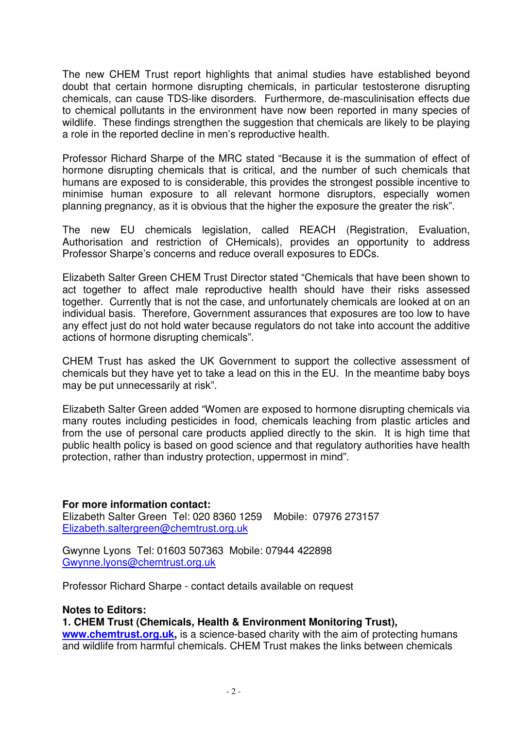The new CHEM Trust report highlights that animal studies have established beyond doubt that certain hormone disrupting chemicals, in particular testosterone disrupting chemicals, can cause TDS-like disorders. Furthermore, de-masculinisation effects due to chemical pollutants in the environment have now been reported in many species of wildlife. These findings strengthen the suggestion that chemicals are likely to be playing a role in the reported decline in men's reproductive health.

Professor Richard Sharpe of the MRC stated "Because it is the summation of effect of hormone disrupting chemicals that is critical, and the number of such chemicals that humans are exposed to is considerable, this provides the strongest possible incentive to minimise human exposure to all relevant hormone disruptors, especially women planning pregnancy, as it is obvious that the higher the exposure the greater the risk".

The new EU chemicals legislation, called REACH (Registration, Evaluation, Authorisation and restriction of CHemicals), provides an opportunity to address Professor Sharpe's concerns and reduce overall exposures to EDCs.

Elizabeth Salter Green CHEM Trust Director stated "Chemicals that have been shown to act together to affect male reproductive health should have their risks assessed together. Currently that is not the case, and unfortunately chemicals are looked at on an individual basis. Therefore, Government assurances that exposures are too low to have any effect just do not hold water because regulators do not take into account the additive actions of hormone disrupting chemicals".

CHEM Trust has asked the UK Government to support the collective assessment of chemicals but they have yet to take a lead on this in the EU. In the meantime baby boys may be put unnecessarily at risk".

Elizabeth Salter Green added "Women are exposed to hormone disrupting chemicals via many routes including pesticides in food, chemicals leaching from plastic articles and from the use of personal care products applied directly to the skin. It is high time that public health policy is based on good science and that regulatory authorities have health protection, rather than industry protection, uppermost in mind".

**For more information contact:**  Elizabeth Salter Green Tel: 020 8360 1259 Mobile: 07976 273157 Elizabeth.saltergreen@chemtrust.org.uk

Gwynne Lyons Tel: 01603 507363 Mobile: 07944 422898 Gwynne.lyons@chemtrust.org.uk

Professor Richard Sharpe - contact details available on request

### **Notes to Editors:**

#### **1. CHEM Trust (Chemicals, Health & Environment Monitoring Trust),**

**www.chemtrust.org.uk,** is a science-based charity with the aim of protecting humans and wildlife from harmful chemicals. CHEM Trust makes the links between chemicals